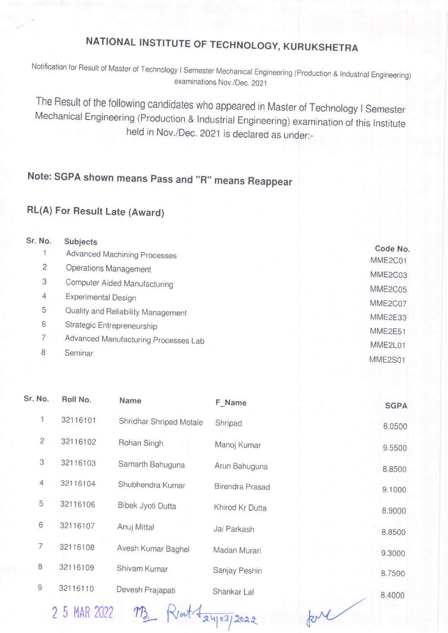## NATIONAL INSTITUTE OF TECHNOLOGY, KURUKSHETRA

Notification for Result of Master of Technology I Semester Mechanical Engineering (Production & Industrial Engineering) examinations Nov./Dec. 2021

The Result of the following candidates who appeared in Master of Technology I Semester Mechanical Engineering (Production & lndustrial Engineering) examination of this lnstitute held in Nov./Dec. 2021 is declared as under:-

## Note: SGPA shown means pass and "R" means Reappear

## RL(A) For Result Late (Award)

| Sr. No. |                | Subjects                             |                     |
|---------|----------------|--------------------------------------|---------------------|
|         |                | <b>Advanced Machining Processes</b>  | Code No.<br>MME2C01 |
|         | $\overline{c}$ | <b>Operations Management</b>         | MME2C03             |
|         | 3              | <b>Computer Aided Manufacturing</b>  | MME2C05             |
|         | $\overline{4}$ | <b>Experimental Design</b>           | MME2C07             |
|         | 5              | Quality and Reliability Management   | MME2E33             |
|         | 6              | Strategic Entrepreneurship           | MME2E51             |
|         | 7              | Advanced Manufacturing Processes Lab | MME2L01             |
|         | 8              | Seminar                              | MME2S01             |
|         |                |                                      |                     |

| Sr. No. |                | Roll No. | Name                    | F Name                 | <b>SGPA</b> |
|---------|----------------|----------|-------------------------|------------------------|-------------|
|         | 1              | 32116101 | Shridhar Shripad Motale | Shripad                | 8.0500      |
|         | $\overline{c}$ | 32116102 | Rohan Singh             | Manoj Kumar            | 9.5500      |
|         | 3              | 32116103 | Samarth Bahuguna        | Arun Bahuguna          | 8.8500      |
|         | 4              | 32116104 | Shubhendra Kumar        | <b>Birendra Prasad</b> | 9.1000      |
|         | 5              | 32116106 | Bibek Jyoti Dutta       | Khirod Kr Dutta        | 8.9000      |
|         | 6              | 32116107 | Anuj Mittal             | Jai Parkash            | 8.8500      |
|         | 7              | 32116108 | Avesh Kumar Baghel      | Madan Murari           | 9.3000      |
|         | 8              | 32116109 | Shivam Kumar            | Sanjay Peshin          | 8.7500      |
|         | 9              | 32116110 | Devesh Prajapati        | Shankar Lal            | 8.4000      |
|         |                |          |                         |                        |             |

25 MAR 2022 MB, Rent Hay 03/2022

kul